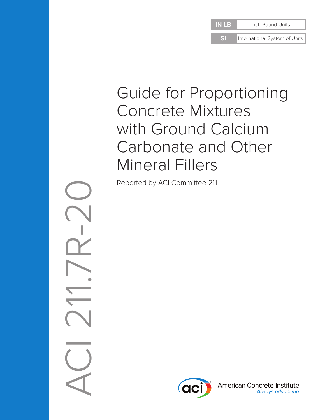**SI** International System of Units

# Guide for Proportioning Concrete Mixtures with Ground Calcium Carbonate and Other Mineral Fillers

Reported by ACI Committee 211



American Concrete Institute Always advancing

ACI 211.7R-20  $\sqrt{2}$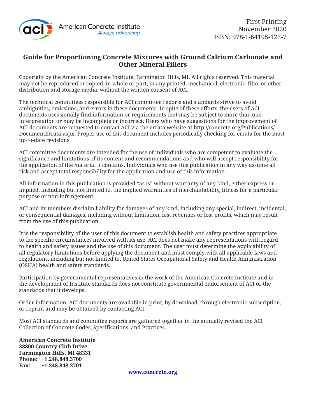

### **Guide for Proportioning Concrete Mixtures with Ground Calcium Carbonate and Other Mineral Fillers**

Copyright by the American Concrete Institute, Farmington Hills, MI. All rights reserved. This material may not be reproduced or copied, in whole or part, in any printed, mechanical, electronic, film, or other distribution and storage media, without the written consent of ACI.

The technical committees responsible for ACI committee reports and standards strive to avoid ambiguities, omissions, and errors in these documents. In spite of these efforts, the users of ACI documents occasionally find information or requirements that may be subject to more than one interpretation or may be incomplete or incorrect. Users who have suggestions for the improvement of ACI documents are requested to contact ACI via the errata website at http://concrete.org/Publications/ DocumentErrata.aspx. Proper use of this document includes periodically checking for errata for the most up-to-date revisions.

ACI committee documents are intended for the use of individuals who are competent to evaluate the significance and limitations of its content and recommendations and who will accept responsibility for the application of the material it contains. Individuals who use this publication in any way assume all risk and accept total responsibility for the application and use of this information.

All information in this publication is provided "as is" without warranty of any kind, either express or implied, including but not limited to, the implied warranties of merchantability, fitness for a particular purpose or non-infringement.

ACI and its members disclaim liability for damages of any kind, including any special, indirect, incidental, or consequential damages, including without limitation, lost revenues or lost profits, which may result from the use of this publication.

It is the responsibility of the user of this document to establish health and safety practices appropriate to the specific circumstances involved with its use. ACI does not make any representations with regard to health and safety issues and the use of this document. The user must determine the applicability of all regulatory limitations before applying the document and must comply with all applicable laws and regulations, including but not limited to, United States Occupational Safety and Health Administration (OSHA) health and safety standards.

Participation by governmental representatives in the work of the American Concrete Institute and in the development of Institute standards does not constitute governmental endorsement of ACI or the standards that it develops.

Order information: ACI documents are available in print, by download, through electronic subscription, or reprint and may be obtained by contacting ACI.

Most ACI standards and committee reports are gathered together in the annually revised the ACI Collection of Concrete Codes, Specifications, and Practices.

**American Concrete Institute 38800 Country Club Drive Farmington Hills, MI 48331 Phone: +1.248.848.3700 Fax: +1.248.848.3701**

**www.concrete.org**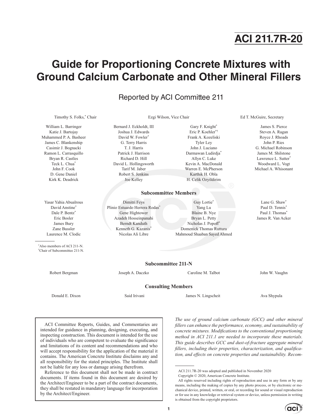# **ACI 211.7R-20**

## **Guide for Proportioning Concrete Mixtures with Ground Calcium Carbonate and Other Mineral Fillers**

### Reported by ACI Committee 211

Timothy S. Folks,\*

William L. Barringer Katie J. Bartojay Muhammed P. A. Basheer James C. Blankenship Casimir J. Bognacki Ramon L. Carrasquillo Bryan R. Castles Teck L. Chua\* John F. Cook D. Gene Daniel Kirk K. Deadrick

Yasar Yahia Abualrous David Anstine\* Dale P. Bentz<sup>\*</sup> Eric Bosler James Bury Zane Bussler Laurence M. Clodic

\* Also members of ACI 211-N. † Chair of Subcommittee 211-N.

Bernard J. Eckholdt, III Joshua J. Edwards David W. Fowler\* G. Terry Harris T. J. Harris Patrick J. Harrison Richard D. Hill David L. Hollingsworth Tarif M. Jaber Robert S. Jenkins Joe Kelley

Dimitri Feys Plinio Estuardo Herrera Rodas' Gene Hightower Azadeh Hosseinpanahi Berndt Kanduth Kenneth G. Kazanis<sup>\*</sup> Nicolas Ali Libre

#### Frank A. Kozeliski Tyler Ley John J. Luciano Darmawan Ludirdja\* Allyn C. Luke Kevin A. MacDonald Warren E. McPherson Karthik H. Obla H. Celik Ozyildirim

Gary F. Knight\* Eric P. Koehler\*†

#### Guy Lortie\* Yang Lu Blaine B. Nye Bryan L. Petty

Nicholas J. Popoff\* Domenick Thomas Ruttura Mahmoud Shaaban Sayed Ahmed

Ezgi Wilson, Vice Chair **Ed T. McGuire, Secretary** 

James S. Pierce Steven A. Ragan Royce J. Rhoads John P. Ries G. Michael Robinson James M. Shilstone Lawrence L. Sutter\* Woodward L. Vogt Michael A. Whisonant

Lane G. Shaw\* Paul D. Tennis<sup>\*</sup> Paul J. Thomas<sup>\*</sup> James R. Van Acker

**Subcommittee 211-N**

Robert Bergman Joseph A. Daczko Caroline M. Talbot John W. Vaughn

**Consulting Members**

**Subcommittee Members**

Donald E. Dixon Said Irivani James N. Lingscheit Ava Shypula

ACI Committee Reports, Guides, and Commentaries are intended for guidance in planning, designing, executing, and inspecting construction. This document is intended for the use of individuals who are competent to evaluate the significance and limitations of its content and recommendations and who will accept responsibility for the application of the material it contains. The American Concrete Institute disclaims any and all responsibility for the stated principles. The Institute shall not be liable for any loss or damage arising therefrom.

Reference to this document shall not be made in contract documents. If items found in this document are desired by the Architect/Engineer to be a part of the contract documents, they shall be restated in mandatory language for incorporation by the Architect/Engineer.

*The use of ground calcium carbonate (GCC) and other mineral fillers can enhance the performance, economy, and sustainability of concrete mixtures. Modifications to the conventional proportioning method in ACI 211.1 are needed to incorporate these materials. This guide describes GCC and dust-of-fracture aggregate mineral fillers, including their properties, characterization, and qualification, and effects on concrete properties and sustainability. Recom-*

All rights reserved including rights of reproduction and use in any form or by any means, including the making of copies by any photo process, or by electronic or mechanical device, printed, written, or oral, or recording for sound or visual reproduction or for use in any knowledge or retrieval system or device, unless permission in writing is obtained from the copyright proprietors.



ACI 211.7R-20 was adopted and published in November 2020

Copyright © 2020, American Concrete Institute.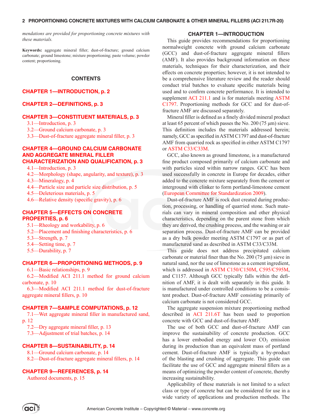#### **2 PROPORTIONING CONCRETE MIXTURES WITH CALCIUM CARBONATE & OTHER MINERAL FILLERS (ACI 211.7R-20)**

*mendations are provided for proportioning concrete mixtures with these materials.*

**Keywords:** aggregate mineral filler; dust-of-fracture; ground calcium carbonate; ground limestone; mixture proportioning; paste volume; powder content; proportioning.

#### **CONTENTS**

#### **CHAPTER 1—INTRODUCTION, p. 2**

#### **[CHAPTER 2—DEFINITIONS, p. 3](#page-4-0)**

#### **[CHAPTER 3—CONSTITUENT MATERIALS, p. 3](#page-4-0)**

[3.1—Introduction, p. 3](#page-4-0)

[3.2—Ground calcium carbonate, p. 3](#page-4-0)

[3.3—Dust-of-fracture aggregate mineral filler, p. 3](#page-4-0)

#### **[CHAPTER 4—GROUND CALCIUM CARBONATE](#page-4-0) [AND AGGREGATE MINERAL FILLER](#page-4-0)  [CHARACTERIZATION AND QUALIFICATION, p. 3](#page-4-0)**

[4.1—Introduction, p. 3](#page-4-0)

- 
- [4.2—Morphology \(shape, angularity, and texture\), p. 3](#page-4-0)
- [4.3—Mineralogy, p. 4](#page--1-0)
- [4.4—Particle size and particle size distribution, p. 5](#page--1-0)
- [4.5—Deleterious materials, p. 5](#page--1-0)
- [4.6—Relative density \(specific gravity\), p. 6](#page--1-0)

#### **[CHAPTER 5—EFFECTS ON CONCRETE](#page--1-0)  [PROPERTIES, p. 6](#page--1-0)**

- [5.1—Rheology and workability, p. 6](#page--1-0)
- [5.2—Placement and finishing characteristics, p. 6](#page--1-0)
- [5.3—Strength, p. 7](#page--1-0)
- [5.4—Setting time, p. 7](#page--1-0)
- [5.5—Durability, p. 7](#page--1-0)

#### **[CHAPTER 6—PROPORTIONING METHODS, p. 9](#page--1-0)**

[6.1—Basic relationships, p. 9](#page--1-0)

[6.2—Modified ACI 211.1 method for ground calcium](#page--1-0) [carbonate, p. 10](#page--1-0)

[6.3—Modified ACI 211.1 method for dust-of-fracture](#page--1-0) [aggregate mineral fillers, p. 10](#page--1-0)

#### **[CHAPTER 7—SAMPLE COMPUTATIONS, p. 12](#page--1-0)**

[7.1—Wet aggregate mineral filler in manufactured sand,](#page--1-0) [p. 12](#page--1-0)

[7.2—Dry aggregate mineral filler, p. 13](#page--1-0)

[7.3—Adjustment of trial batches, p. 14](#page--1-0)

#### **[CHAPTER 8—SUSTAINABILITY, p. 14](#page--1-0)**

[8.1—Ground calcium carbonate, p. 14](#page--1-0)

[8.2—Dust-of-fracture aggregate mineral fillers, p. 14](#page--1-0)

#### **[CHAPTER 9—REFERENCES, p. 14](#page--1-0)**

[Authored documents, p. 15](#page--1-0)

#### **CHAPTER 1—INTRODUCTION**

This guide provides recommendations for proportioning normalweight concrete with ground calcium carbonate (GCC) and dust-of-fracture aggregate mineral fillers (AMF). It also provides background information on these materials, techniques for their characterization, and their effects on concrete properties; however, it is not intended to be a comprehensive literature review and the reader should conduct trial batches to evaluate specific materials being used and to confirm concrete performance. It is intended to supplement [ACI 211.1](#page--1-1) and is for materials meeting [ASTM](#page--1-2) [C1797.](#page--1-2) Proportioning methods for GCC and for dust-offracture AMF are discussed separately.

Mineral filler is defined as a finely divided mineral product at least 65 percent of which passes the No. 200 (75 μm) sieve. This definition includes the materials addressed herein; namely, GCC as specified in ASTM C1797 and dust-of-fracture AMF from quarried rock as specified in either ASTM C1797 or [ASTM C33/C33M.](#page--1-3)

GCC, also known as ground limestone, is a manufactured fine product composed primarily of calcium carbonate and with particles sized within narrow ranges. GCC has been used successfully in concrete in Europe for decades, either added to the concrete mixture separately from the cement or interground with clinker to form portland-limestone cement [\(European Committee for Standardization 2009\)](#page--1-4).

Dust-of-fracture AMF is rock dust created during production, processing, or handling of quarried stone. Such materials can vary in mineral composition and other physical characteristics, depending on the parent stone from which they are derived, the crushing process, and the washing or air separation process. Dust-of-fracture AMF can be provided as a dry bulk powder meeting ASTM C1797 or as part of manufactured sand as described in ASTM C33/C33M.

This guide does not address precipitated calcium carbonate or material finer than the No. 200 (75 μm) sieve in natural sand, nor the use of limestone as a cement ingredient, which is addressed in [ASTM C150/C150M,](#page--1-5) [C595/C595M,](#page--1-6) and C1157. Although GCC typically falls within the definition of AMF, it is dealt with separately in this guide. It is manufactured under controlled conditions to be a consistent product. Dust-of-fracture AMF consisting primarily of calcium carbonate is not considered GCC.

The aggregate suspension mixture proportioning method described in [ACI 211.6T](#page--1-7) has been used to proportion concrete with GCC and dust-of-fracture AMF.

The use of both GCC and dust-of-fracture AMF can improve the sustainability of concrete production. GCC has a lower embodied energy and lower  $CO<sub>2</sub>$  emission during its production than an equivalent mass of portland cement. Dust-of-fracture AMF is typically a by-product of the blasting and crushing of aggregate. This guide can facilitate the use of GCC and aggregate mineral fillers as a means of optimizing the powder content of concrete, thereby increasing sustainability.

Applicability of these materials is not limited to a select class or type of concrete but can be considered for use in a wide variety of applications and production methods. The